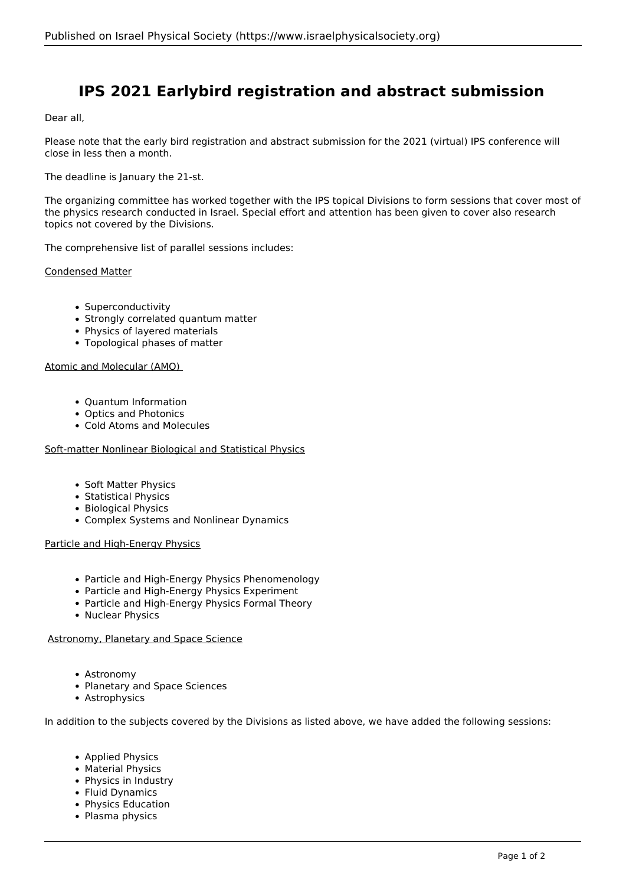# **IPS 2021 Earlybird registration and abstract submission**

Dear all,

Please note that the early bird registration and abstract submission for the 2021 (virtual) IPS conference will close in less then a month.

The deadline is January the 21-st.

The organizing committee has worked together with the IPS topical Divisions to form sessions that cover most of the physics research conducted in Israel. Special effort and attention has been given to cover also research topics not covered by the Divisions.

The comprehensive list of parallel sessions includes:

Condensed Matter

- Superconductivity
- Strongly correlated quantum matter
- Physics of layered materials
- Topological phases of matter

## Atomic and Molecular (AMO)

- Ouantum Information
- Optics and Photonics
- Cold Atoms and Molecules

#### Soft-matter Nonlinear Biological and Statistical Physics

- Soft Matter Physics
- Statistical Physics
- Biological Physics
- Complex Systems and Nonlinear Dynamics

Particle and High-Energy Physics

- Particle and High-Energy Physics Phenomenology
- Particle and High-Energy Physics Experiment
- Particle and High-Energy Physics Formal Theory
- Nuclear Physics

#### Astronomy, Planetary and Space Science

- Astronomy
- Planetary and Space Sciences
- Astrophysics

In addition to the subjects covered by the Divisions as listed above, we have added the following sessions:

- Applied Physics
- Material Physics
- Physics in Industry
- Fluid Dynamics
- Physics Education
- Plasma physics